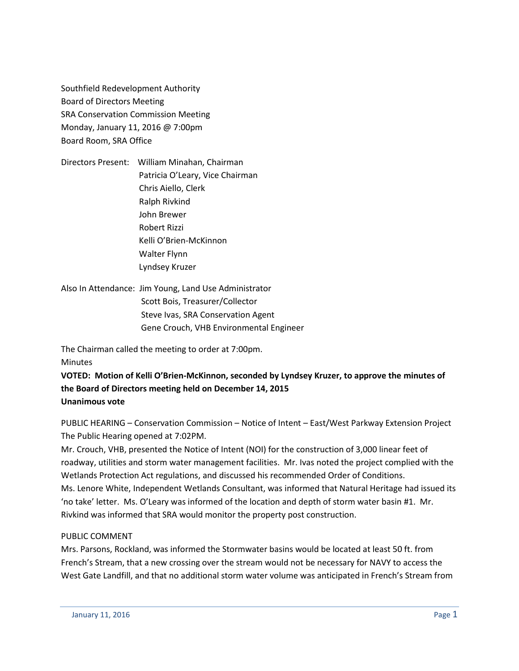Southfield Redevelopment Authority Board of Directors Meeting SRA Conservation Commission Meeting Monday, January 11, 2016 @ 7:00pm Board Room, SRA Office

Directors Present: William Minahan, Chairman Patricia O'Leary, Vice Chairman Chris Aiello, Clerk Ralph Rivkind John Brewer Robert Rizzi Kelli O'Brien-McKinnon Walter Flynn Lyndsey Kruzer

Also In Attendance: Jim Young, Land Use Administrator Scott Bois, Treasurer/Collector Steve Ivas, SRA Conservation Agent Gene Crouch, VHB Environmental Engineer

The Chairman called the meeting to order at 7:00pm.

**Minutes** 

**VOTED: Motion of Kelli O'Brien-McKinnon, seconded by Lyndsey Kruzer, to approve the minutes of the Board of Directors meeting held on December 14, 2015 Unanimous vote**

PUBLIC HEARING – Conservation Commission – Notice of Intent – East/West Parkway Extension Project The Public Hearing opened at 7:02PM.

Mr. Crouch, VHB, presented the Notice of Intent (NOI) for the construction of 3,000 linear feet of roadway, utilities and storm water management facilities. Mr. Ivas noted the project complied with the Wetlands Protection Act regulations, and discussed his recommended Order of Conditions. Ms. Lenore White, Independent Wetlands Consultant, was informed that Natural Heritage had issued its 'no take' letter. Ms. O'Leary was informed of the location and depth of storm water basin #1. Mr. Rivkind was informed that SRA would monitor the property post construction.

# PUBLIC COMMENT

Mrs. Parsons, Rockland, was informed the Stormwater basins would be located at least 50 ft. from French's Stream, that a new crossing over the stream would not be necessary for NAVY to access the West Gate Landfill, and that no additional storm water volume was anticipated in French's Stream from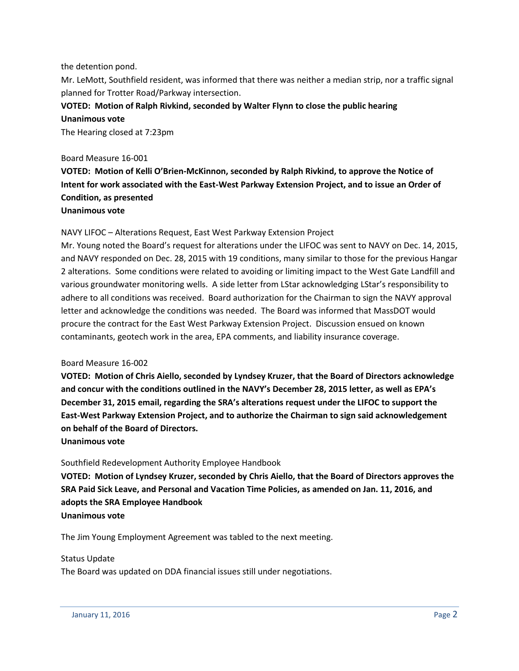#### the detention pond.

Mr. LeMott, Southfield resident, was informed that there was neither a median strip, nor a traffic signal planned for Trotter Road/Parkway intersection.

# **VOTED: Motion of Ralph Rivkind, seconded by Walter Flynn to close the public hearing Unanimous vote**

The Hearing closed at 7:23pm

#### Board Measure 16-001

**VOTED: Motion of Kelli O'Brien-McKinnon, seconded by Ralph Rivkind, to approve the Notice of Intent for work associated with the East-West Parkway Extension Project, and to issue an Order of Condition, as presented**

## **Unanimous vote**

#### NAVY LIFOC – Alterations Request, East West Parkway Extension Project

Mr. Young noted the Board's request for alterations under the LIFOC was sent to NAVY on Dec. 14, 2015, and NAVY responded on Dec. 28, 2015 with 19 conditions, many similar to those for the previous Hangar 2 alterations. Some conditions were related to avoiding or limiting impact to the West Gate Landfill and various groundwater monitoring wells. A side letter from LStar acknowledging LStar's responsibility to adhere to all conditions was received. Board authorization for the Chairman to sign the NAVY approval letter and acknowledge the conditions was needed. The Board was informed that MassDOT would procure the contract for the East West Parkway Extension Project. Discussion ensued on known contaminants, geotech work in the area, EPA comments, and liability insurance coverage.

#### Board Measure 16-002

**VOTED: Motion of Chris Aiello, seconded by Lyndsey Kruzer, that the Board of Directors acknowledge and concur with the conditions outlined in the NAVY's December 28, 2015 letter, as well as EPA's December 31, 2015 email, regarding the SRA's alterations request under the LIFOC to support the East-West Parkway Extension Project, and to authorize the Chairman to sign said acknowledgement on behalf of the Board of Directors.**

#### **Unanimous vote**

#### Southfield Redevelopment Authority Employee Handbook

**VOTED: Motion of Lyndsey Kruzer, seconded by Chris Aiello, that the Board of Directors approves the SRA Paid Sick Leave, and Personal and Vacation Time Policies, as amended on Jan. 11, 2016, and adopts the SRA Employee Handbook Unanimous vote**

# The Jim Young Employment Agreement was tabled to the next meeting.

#### Status Update

The Board was updated on DDA financial issues still under negotiations.